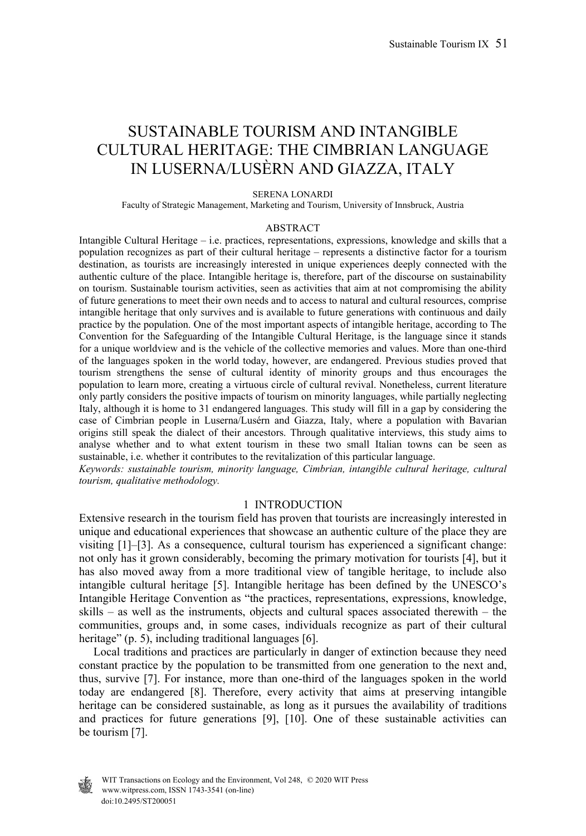# SUSTAINABLE TOURISM AND INTANGIBLE CULTURAL HERITAGE: THE CIMBRIAN LANGUAGE IN LUSERNA/LUSÈRN AND GIAZZA, ITALY

#### SERENA LONARDI

Faculty of Strategic Management, Marketing and Tourism, University of Innsbruck, Austria

#### ABSTRACT

Intangible Cultural Heritage – i.e. practices, representations, expressions, knowledge and skills that a population recognizes as part of their cultural heritage – represents a distinctive factor for a tourism destination, as tourists are increasingly interested in unique experiences deeply connected with the authentic culture of the place. Intangible heritage is, therefore, part of the discourse on sustainability on tourism. Sustainable tourism activities, seen as activities that aim at not compromising the ability of future generations to meet their own needs and to access to natural and cultural resources, comprise intangible heritage that only survives and is available to future generations with continuous and daily practice by the population. One of the most important aspects of intangible heritage, according to The Convention for the Safeguarding of the Intangible Cultural Heritage, is the language since it stands for a unique worldview and is the vehicle of the collective memories and values. More than one-third of the languages spoken in the world today, however, are endangered. Previous studies proved that tourism strengthens the sense of cultural identity of minority groups and thus encourages the population to learn more, creating a virtuous circle of cultural revival. Nonetheless, current literature only partly considers the positive impacts of tourism on minority languages, while partially neglecting Italy, although it is home to 31 endangered languages. This study will fill in a gap by considering the case of Cimbrian people in Luserna/Lusérn and Giazza, Italy, where a population with Bavarian origins still speak the dialect of their ancestors. Through qualitative interviews, this study aims to analyse whether and to what extent tourism in these two small Italian towns can be seen as sustainable, i.e. whether it contributes to the revitalization of this particular language.

*Keywords: sustainable tourism, minority language, Cimbrian, intangible cultural heritage, cultural tourism, qualitative methodology.* 

#### 1 INTRODUCTION

Extensive research in the tourism field has proven that tourists are increasingly interested in unique and educational experiences that showcase an authentic culture of the place they are visiting [1]–[3]. As a consequence, cultural tourism has experienced a significant change: not only has it grown considerably, becoming the primary motivation for tourists [4], but it has also moved away from a more traditional view of tangible heritage, to include also intangible cultural heritage [5]. Intangible heritage has been defined by the UNESCO's Intangible Heritage Convention as "the practices, representations, expressions, knowledge, skills – as well as the instruments, objects and cultural spaces associated therewith – the communities, groups and, in some cases, individuals recognize as part of their cultural heritage" (p. 5), including traditional languages [6].

 Local traditions and practices are particularly in danger of extinction because they need constant practice by the population to be transmitted from one generation to the next and, thus, survive [7]. For instance, more than one-third of the languages spoken in the world today are endangered [8]. Therefore, every activity that aims at preserving intangible heritage can be considered sustainable, as long as it pursues the availability of traditions and practices for future generations [9], [10]. One of these sustainable activities can be tourism [7].



 www.witpress.com, ISSN 1743-3541 (on-line) WIT Transactions on Ecology and the Environment, Vol 248,  $\odot$  2020 WIT Press doi:10.2495/ST200051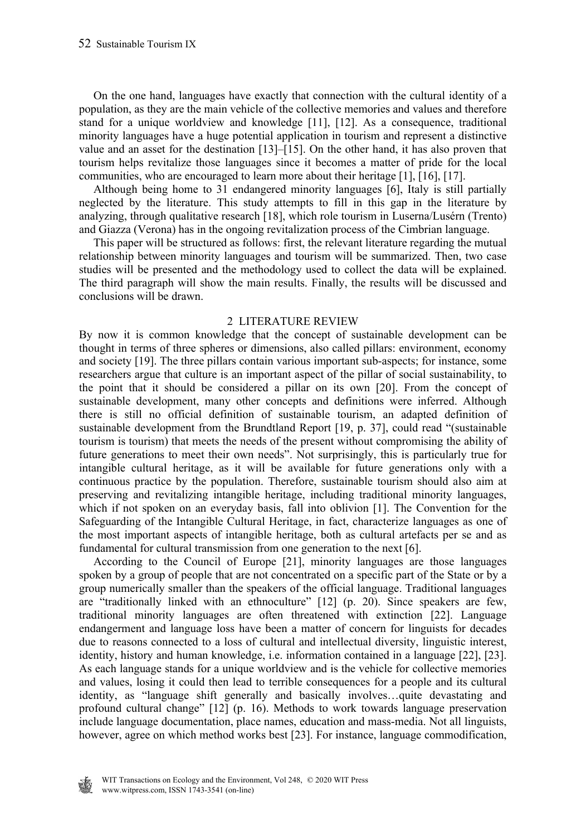On the one hand, languages have exactly that connection with the cultural identity of a population, as they are the main vehicle of the collective memories and values and therefore stand for a unique worldview and knowledge [11], [12]. As a consequence, traditional minority languages have a huge potential application in tourism and represent a distinctive value and an asset for the destination [13]–[15]. On the other hand, it has also proven that tourism helps revitalize those languages since it becomes a matter of pride for the local communities, who are encouraged to learn more about their heritage [1], [16], [17].

 Although being home to 31 endangered minority languages [6], Italy is still partially neglected by the literature. This study attempts to fill in this gap in the literature by analyzing, through qualitative research [18], which role tourism in Luserna/Lusérn (Trento) and Giazza (Verona) has in the ongoing revitalization process of the Cimbrian language.

 This paper will be structured as follows: first, the relevant literature regarding the mutual relationship between minority languages and tourism will be summarized. Then, two case studies will be presented and the methodology used to collect the data will be explained. The third paragraph will show the main results. Finally, the results will be discussed and conclusions will be drawn.

### 2 LITERATURE REVIEW

By now it is common knowledge that the concept of sustainable development can be thought in terms of three spheres or dimensions, also called pillars: environment, economy and society [19]. The three pillars contain various important sub-aspects; for instance, some researchers argue that culture is an important aspect of the pillar of social sustainability, to the point that it should be considered a pillar on its own [20]. From the concept of sustainable development, many other concepts and definitions were inferred. Although there is still no official definition of sustainable tourism, an adapted definition of sustainable development from the Brundtland Report [19, p. 37], could read "(sustainable tourism is tourism) that meets the needs of the present without compromising the ability of future generations to meet their own needs". Not surprisingly, this is particularly true for intangible cultural heritage, as it will be available for future generations only with a continuous practice by the population. Therefore, sustainable tourism should also aim at preserving and revitalizing intangible heritage, including traditional minority languages, which if not spoken on an everyday basis, fall into oblivion [1]. The Convention for the Safeguarding of the Intangible Cultural Heritage, in fact, characterize languages as one of the most important aspects of intangible heritage, both as cultural artefacts per se and as fundamental for cultural transmission from one generation to the next [6].

 According to the Council of Europe [21], minority languages are those languages spoken by a group of people that are not concentrated on a specific part of the State or by a group numerically smaller than the speakers of the official language. Traditional languages are "traditionally linked with an ethnoculture" [12] (p. 20). Since speakers are few, traditional minority languages are often threatened with extinction [22]. Language endangerment and language loss have been a matter of concern for linguists for decades due to reasons connected to a loss of cultural and intellectual diversity, linguistic interest, identity, history and human knowledge, i.e. information contained in a language [22], [23]. As each language stands for a unique worldview and is the vehicle for collective memories and values, losing it could then lead to terrible consequences for a people and its cultural identity, as "language shift generally and basically involves…quite devastating and profound cultural change" [12] (p. 16). Methods to work towards language preservation include language documentation, place names, education and mass-media. Not all linguists, however, agree on which method works best [23]. For instance, language commodification,

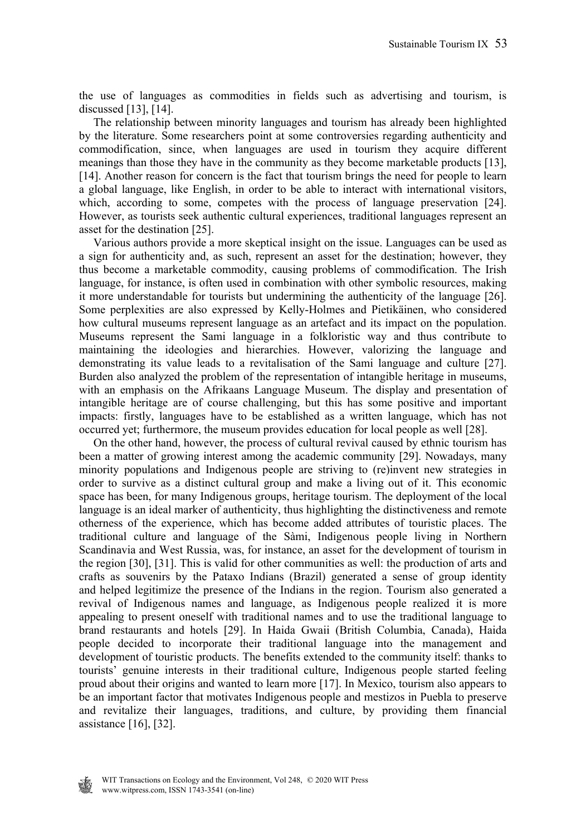the use of languages as commodities in fields such as advertising and tourism, is discussed [13], [14].

 The relationship between minority languages and tourism has already been highlighted by the literature. Some researchers point at some controversies regarding authenticity and commodification, since, when languages are used in tourism they acquire different meanings than those they have in the community as they become marketable products [13], [14]. Another reason for concern is the fact that tourism brings the need for people to learn a global language, like English, in order to be able to interact with international visitors, which, according to some, competes with the process of language preservation [24]. However, as tourists seek authentic cultural experiences, traditional languages represent an asset for the destination [25].

 Various authors provide a more skeptical insight on the issue. Languages can be used as a sign for authenticity and, as such, represent an asset for the destination; however, they thus become a marketable commodity, causing problems of commodification. The Irish language, for instance, is often used in combination with other symbolic resources, making it more understandable for tourists but undermining the authenticity of the language [26]. Some perplexities are also expressed by Kelly-Holmes and Pietikäinen, who considered how cultural museums represent language as an artefact and its impact on the population. Museums represent the Sami language in a folkloristic way and thus contribute to maintaining the ideologies and hierarchies. However, valorizing the language and demonstrating its value leads to a revitalisation of the Sami language and culture [27]. Burden also analyzed the problem of the representation of intangible heritage in museums, with an emphasis on the Afrikaans Language Museum. The display and presentation of intangible heritage are of course challenging, but this has some positive and important impacts: firstly, languages have to be established as a written language, which has not occurred yet; furthermore, the museum provides education for local people as well [28].

 On the other hand, however, the process of cultural revival caused by ethnic tourism has been a matter of growing interest among the academic community [29]. Nowadays, many minority populations and Indigenous people are striving to (re)invent new strategies in order to survive as a distinct cultural group and make a living out of it. This economic space has been, for many Indigenous groups, heritage tourism. The deployment of the local language is an ideal marker of authenticity, thus highlighting the distinctiveness and remote otherness of the experience, which has become added attributes of touristic places. The traditional culture and language of the Sàmi, Indigenous people living in Northern Scandinavia and West Russia, was, for instance, an asset for the development of tourism in the region [30], [31]. This is valid for other communities as well: the production of arts and crafts as souvenirs by the Pataxo Indians (Brazil) generated a sense of group identity and helped legitimize the presence of the Indians in the region. Tourism also generated a revival of Indigenous names and language, as Indigenous people realized it is more appealing to present oneself with traditional names and to use the traditional language to brand restaurants and hotels [29]. In Haida Gwaii (British Columbia, Canada), Haida people decided to incorporate their traditional language into the management and development of touristic products. The benefits extended to the community itself: thanks to tourists' genuine interests in their traditional culture, Indigenous people started feeling proud about their origins and wanted to learn more [17]. In Mexico, tourism also appears to be an important factor that motivates Indigenous people and mestizos in Puebla to preserve and revitalize their languages, traditions, and culture, by providing them financial assistance [16], [32].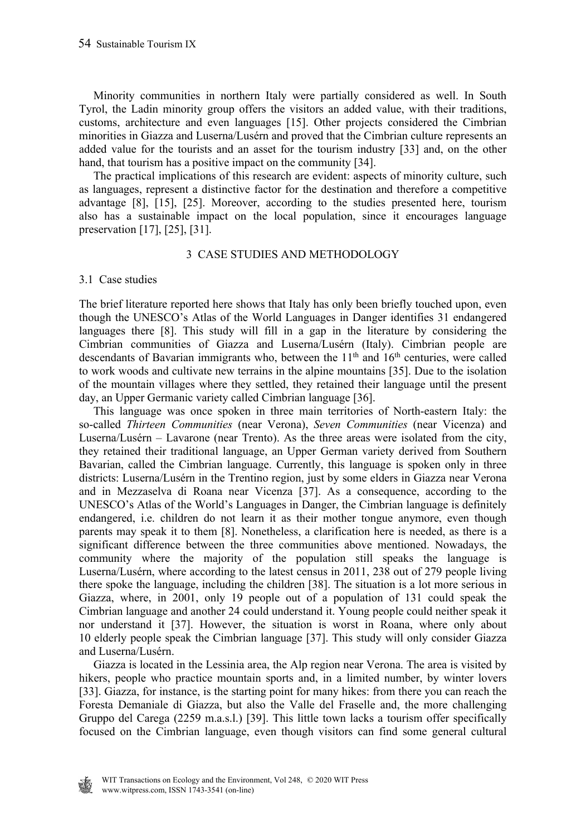Minority communities in northern Italy were partially considered as well. In South Tyrol, the Ladin minority group offers the visitors an added value, with their traditions, customs, architecture and even languages [15]. Other projects considered the Cimbrian minorities in Giazza and Luserna/Lusérn and proved that the Cimbrian culture represents an added value for the tourists and an asset for the tourism industry [33] and, on the other hand, that tourism has a positive impact on the community [34].

 The practical implications of this research are evident: aspects of minority culture, such as languages, represent a distinctive factor for the destination and therefore a competitive advantage [8], [15], [25]. Moreover, according to the studies presented here, tourism also has a sustainable impact on the local population, since it encourages language preservation [17], [25], [31].

### 3 CASE STUDIES AND METHODOLOGY

### 3.1 Case studies

The brief literature reported here shows that Italy has only been briefly touched upon, even though the UNESCO's Atlas of the World Languages in Danger identifies 31 endangered languages there [8]. This study will fill in a gap in the literature by considering the Cimbrian communities of Giazza and Luserna/Lusérn (Italy). Cimbrian people are descendants of Bavarian immigrants who, between the  $11<sup>th</sup>$  and  $16<sup>th</sup>$  centuries, were called to work woods and cultivate new terrains in the alpine mountains [35]. Due to the isolation of the mountain villages where they settled, they retained their language until the present day, an Upper Germanic variety called Cimbrian language [36].

 This language was once spoken in three main territories of North-eastern Italy: the so-called *Thirteen Communities* (near Verona), *Seven Communities* (near Vicenza) and Luserna/Lusérn – Lavarone (near Trento). As the three areas were isolated from the city, they retained their traditional language, an Upper German variety derived from Southern Bavarian, called the Cimbrian language. Currently, this language is spoken only in three districts: Luserna/Lusérn in the Trentino region, just by some elders in Giazza near Verona and in Mezzaselva di Roana near Vicenza [37]. As a consequence, according to the UNESCO's Atlas of the World's Languages in Danger, the Cimbrian language is definitely endangered, i.e. children do not learn it as their mother tongue anymore, even though parents may speak it to them [8]. Nonetheless, a clarification here is needed, as there is a significant difference between the three communities above mentioned. Nowadays, the community where the majority of the population still speaks the language is Luserna/Lusérn, where according to the latest census in 2011, 238 out of 279 people living there spoke the language, including the children [38]. The situation is a lot more serious in Giazza, where, in 2001, only 19 people out of a population of 131 could speak the Cimbrian language and another 24 could understand it. Young people could neither speak it nor understand it [37]. However, the situation is worst in Roana, where only about 10 elderly people speak the Cimbrian language [37]. This study will only consider Giazza and Luserna/Lusérn.

 Giazza is located in the Lessinia area, the Alp region near Verona. The area is visited by hikers, people who practice mountain sports and, in a limited number, by winter lovers [33]. Giazza, for instance, is the starting point for many hikes: from there you can reach the Foresta Demaniale di Giazza, but also the Valle del Fraselle and, the more challenging Gruppo del Carega (2259 m.a.s.l.) [39]. This little town lacks a tourism offer specifically focused on the Cimbrian language, even though visitors can find some general cultural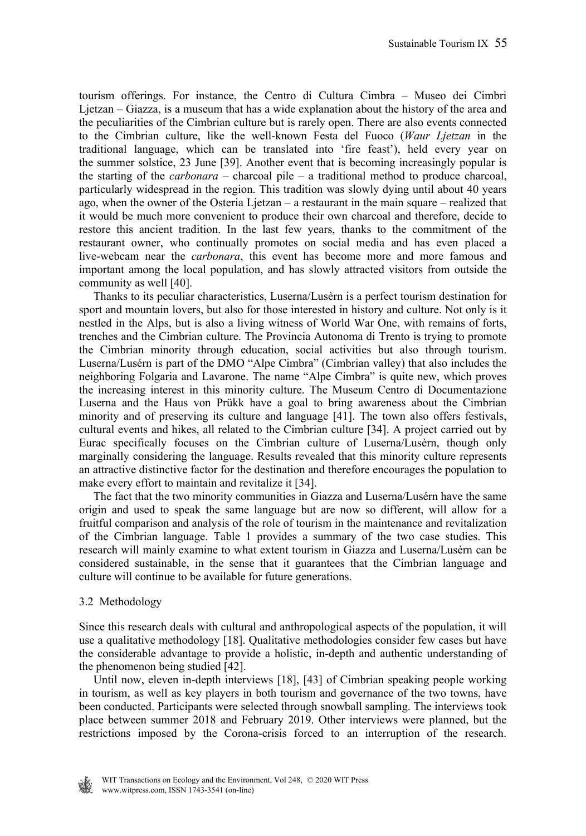tourism offerings. For instance, the Centro di Cultura Cimbra – Museo dei Cimbri Ljetzan – Giazza, is a museum that has a wide explanation about the history of the area and the peculiarities of the Cimbrian culture but is rarely open. There are also events connected to the Cimbrian culture, like the well-known Festa del Fuoco (*Waur Ljetzan* in the traditional language, which can be translated into 'fire feast'), held every year on the summer solstice, 23 June [39]. Another event that is becoming increasingly popular is the starting of the *carbonara* – charcoal pile – a traditional method to produce charcoal, particularly widespread in the region. This tradition was slowly dying until about 40 years ago, when the owner of the Osteria Ljetzan – a restaurant in the main square – realized that it would be much more convenient to produce their own charcoal and therefore, decide to restore this ancient tradition. In the last few years, thanks to the commitment of the restaurant owner, who continually promotes on social media and has even placed a live-webcam near the *carbonara*, this event has become more and more famous and important among the local population, and has slowly attracted visitors from outside the community as well [40].

 Thanks to its peculiar characteristics, Luserna/Lusèrn is a perfect tourism destination for sport and mountain lovers, but also for those interested in history and culture. Not only is it nestled in the Alps, but is also a living witness of World War One, with remains of forts, trenches and the Cimbrian culture. The Provincia Autonoma di Trento is trying to promote the Cimbrian minority through education, social activities but also through tourism. Luserna/Lusérn is part of the DMO "Alpe Cimbra" (Cimbrian valley) that also includes the neighboring Folgaria and Lavarone. The name "Alpe Cimbra" is quite new, which proves the increasing interest in this minority culture. The Museum Centro di Documentazione Luserna and the Haus von Prükk have a goal to bring awareness about the Cimbrian minority and of preserving its culture and language [41]. The town also offers festivals, cultural events and hikes, all related to the Cimbrian culture [34]. A project carried out by Eurac specifically focuses on the Cimbrian culture of Luserna/Lusèrn, though only marginally considering the language. Results revealed that this minority culture represents an attractive distinctive factor for the destination and therefore encourages the population to make every effort to maintain and revitalize it [34].

 The fact that the two minority communities in Giazza and Luserna/Lusérn have the same origin and used to speak the same language but are now so different, will allow for a fruitful comparison and analysis of the role of tourism in the maintenance and revitalization of the Cimbrian language. Table 1 provides a summary of the two case studies. This research will mainly examine to what extent tourism in Giazza and Luserna/Lusèrn can be considered sustainable, in the sense that it guarantees that the Cimbrian language and culture will continue to be available for future generations.

## 3.2 Methodology

Since this research deals with cultural and anthropological aspects of the population, it will use a qualitative methodology [18]. Qualitative methodologies consider few cases but have the considerable advantage to provide a holistic, in-depth and authentic understanding of the phenomenon being studied [42].

 Until now, eleven in-depth interviews [18], [43] of Cimbrian speaking people working in tourism, as well as key players in both tourism and governance of the two towns, have been conducted. Participants were selected through snowball sampling. The interviews took place between summer 2018 and February 2019. Other interviews were planned, but the restrictions imposed by the Corona-crisis forced to an interruption of the research.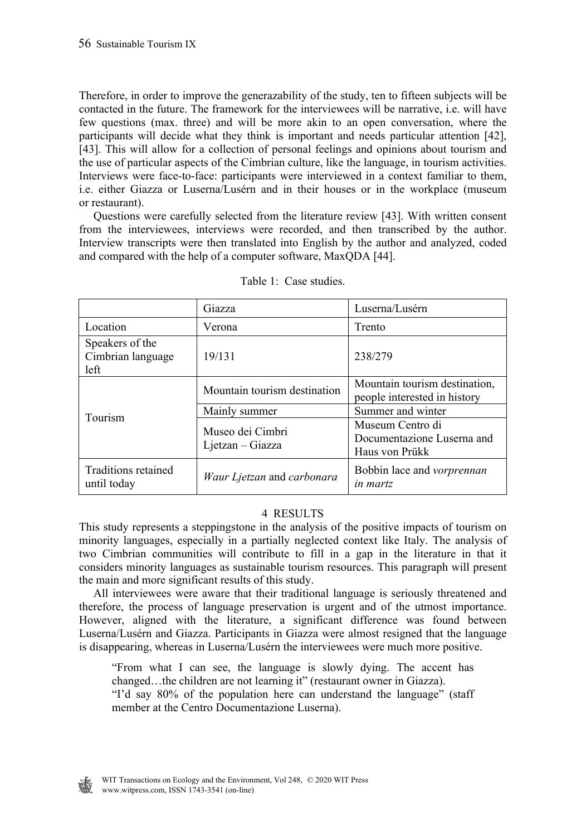Therefore, in order to improve the generazability of the study, ten to fifteen subjects will be contacted in the future. The framework for the interviewees will be narrative, i.e. will have few questions (max. three) and will be more akin to an open conversation, where the participants will decide what they think is important and needs particular attention [42], [43]. This will allow for a collection of personal feelings and opinions about tourism and the use of particular aspects of the Cimbrian culture, like the language, in tourism activities. Interviews were face-to-face: participants were interviewed in a context familiar to them, i.e. either Giazza or Luserna/Lusérn and in their houses or in the workplace (museum or restaurant).

 Questions were carefully selected from the literature review [43]. With written consent from the interviewees, interviews were recorded, and then transcribed by the author. Interview transcripts were then translated into English by the author and analyzed, coded and compared with the help of a computer software, MaxQDA [44].

|                                              | Giazza                               | Luserna/Lusérn                                                   |
|----------------------------------------------|--------------------------------------|------------------------------------------------------------------|
| Location                                     | Verona                               | Trento                                                           |
| Speakers of the<br>Cimbrian language<br>left | 19/131                               | 238/279                                                          |
| Tourism                                      | Mountain tourism destination         | Mountain tourism destination,<br>people interested in history    |
|                                              | Mainly summer                        | Summer and winter                                                |
|                                              | Museo dei Cimbri<br>Ljetzan - Giazza | Museum Centro di<br>Documentazione Luserna and<br>Haus von Prükk |
| Traditions retained<br>until today           | Waur Ljetzan and carbonara           | Bobbin lace and <i>vorprennan</i><br><i>in martz</i>             |

Table 1: Case studies.

## 4 RESULTS

This study represents a steppingstone in the analysis of the positive impacts of tourism on minority languages, especially in a partially neglected context like Italy. The analysis of two Cimbrian communities will contribute to fill in a gap in the literature in that it considers minority languages as sustainable tourism resources. This paragraph will present the main and more significant results of this study.

 All interviewees were aware that their traditional language is seriously threatened and therefore, the process of language preservation is urgent and of the utmost importance. However, aligned with the literature, a significant difference was found between Luserna/Lusérn and Giazza. Participants in Giazza were almost resigned that the language is disappearing, whereas in Luserna/Lusérn the interviewees were much more positive.

"From what I can see, the language is slowly dying. The accent has changed…the children are not learning it" (restaurant owner in Giazza). "I'd say 80% of the population here can understand the language" (staff

member at the Centro Documentazione Luserna).

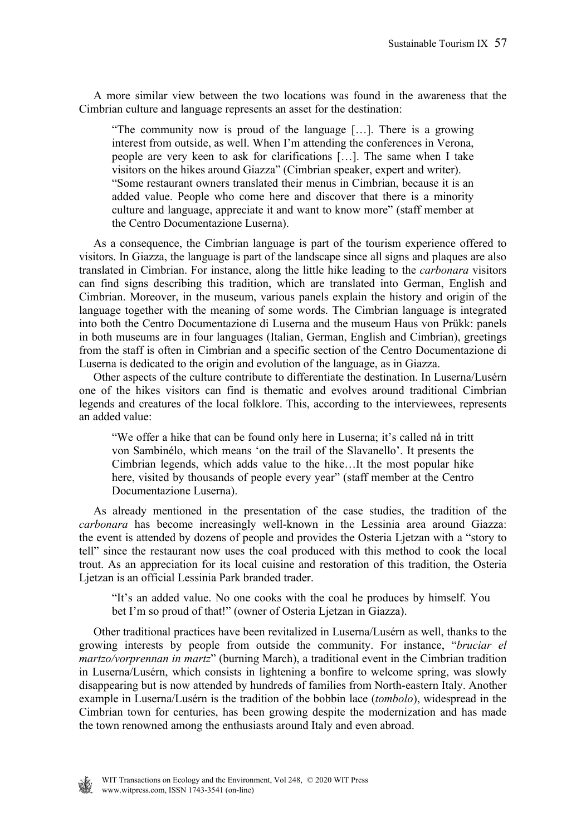A more similar view between the two locations was found in the awareness that the Cimbrian culture and language represents an asset for the destination:

"The community now is proud of the language […]. There is a growing interest from outside, as well. When I'm attending the conferences in Verona, people are very keen to ask for clarifications […]. The same when I take visitors on the hikes around Giazza" (Cimbrian speaker, expert and writer). "Some restaurant owners translated their menus in Cimbrian, because it is an added value. People who come here and discover that there is a minority culture and language, appreciate it and want to know more" (staff member at the Centro Documentazione Luserna).

 As a consequence, the Cimbrian language is part of the tourism experience offered to visitors. In Giazza, the language is part of the landscape since all signs and plaques are also translated in Cimbrian. For instance, along the little hike leading to the *carbonara* visitors can find signs describing this tradition, which are translated into German, English and Cimbrian. Moreover, in the museum, various panels explain the history and origin of the language together with the meaning of some words. The Cimbrian language is integrated into both the Centro Documentazione di Luserna and the museum Haus von Prükk: panels in both museums are in four languages (Italian, German, English and Cimbrian), greetings from the staff is often in Cimbrian and a specific section of the Centro Documentazione di Luserna is dedicated to the origin and evolution of the language, as in Giazza.

 Other aspects of the culture contribute to differentiate the destination. In Luserna/Lusérn one of the hikes visitors can find is thematic and evolves around traditional Cimbrian legends and creatures of the local folklore. This, according to the interviewees, represents an added value:

"We offer a hike that can be found only here in Luserna; it's called nå in tritt von Sambinélo, which means 'on the trail of the Slavanello'. It presents the Cimbrian legends, which adds value to the hike…It the most popular hike here, visited by thousands of people every year" (staff member at the Centro Documentazione Luserna).

 As already mentioned in the presentation of the case studies, the tradition of the *carbonara* has become increasingly well-known in the Lessinia area around Giazza: the event is attended by dozens of people and provides the Osteria Ljetzan with a "story to tell" since the restaurant now uses the coal produced with this method to cook the local trout. As an appreciation for its local cuisine and restoration of this tradition, the Osteria Ljetzan is an official Lessinia Park branded trader.

"It's an added value. No one cooks with the coal he produces by himself. You bet I'm so proud of that!" (owner of Osteria Ljetzan in Giazza).

 Other traditional practices have been revitalized in Luserna/Lusérn as well, thanks to the growing interests by people from outside the community. For instance, "*bruciar el martzo/vorprennan in martz*" (burning March), a traditional event in the Cimbrian tradition in Luserna/Lusérn, which consists in lightening a bonfire to welcome spring, was slowly disappearing but is now attended by hundreds of families from North-eastern Italy. Another example in Luserna/Lusérn is the tradition of the bobbin lace (*tombolo*), widespread in the Cimbrian town for centuries, has been growing despite the modernization and has made the town renowned among the enthusiasts around Italy and even abroad.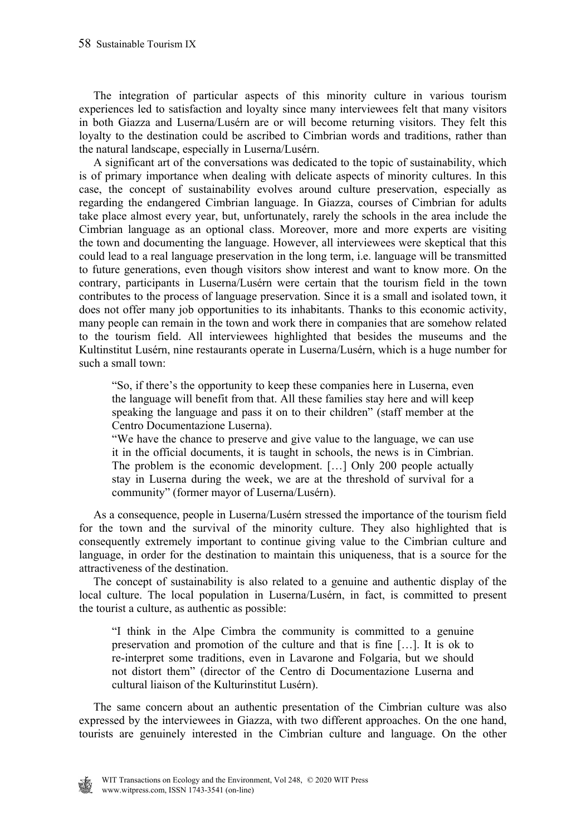The integration of particular aspects of this minority culture in various tourism experiences led to satisfaction and loyalty since many interviewees felt that many visitors in both Giazza and Luserna/Lusérn are or will become returning visitors. They felt this loyalty to the destination could be ascribed to Cimbrian words and traditions, rather than the natural landscape, especially in Luserna/Lusérn.

 A significant art of the conversations was dedicated to the topic of sustainability, which is of primary importance when dealing with delicate aspects of minority cultures. In this case, the concept of sustainability evolves around culture preservation, especially as regarding the endangered Cimbrian language. In Giazza, courses of Cimbrian for adults take place almost every year, but, unfortunately, rarely the schools in the area include the Cimbrian language as an optional class. Moreover, more and more experts are visiting the town and documenting the language. However, all interviewees were skeptical that this could lead to a real language preservation in the long term, i.e. language will be transmitted to future generations, even though visitors show interest and want to know more. On the contrary, participants in Luserna/Lusérn were certain that the tourism field in the town contributes to the process of language preservation. Since it is a small and isolated town, it does not offer many job opportunities to its inhabitants. Thanks to this economic activity, many people can remain in the town and work there in companies that are somehow related to the tourism field. All interviewees highlighted that besides the museums and the Kultinstitut Lusérn, nine restaurants operate in Luserna/Lusérn, which is a huge number for such a small town:

"So, if there's the opportunity to keep these companies here in Luserna, even the language will benefit from that. All these families stay here and will keep speaking the language and pass it on to their children" (staff member at the Centro Documentazione Luserna).

"We have the chance to preserve and give value to the language, we can use it in the official documents, it is taught in schools, the news is in Cimbrian. The problem is the economic development. […] Only 200 people actually stay in Luserna during the week, we are at the threshold of survival for a community" (former mayor of Luserna/Lusérn).

 As a consequence, people in Luserna/Lusérn stressed the importance of the tourism field for the town and the survival of the minority culture. They also highlighted that is consequently extremely important to continue giving value to the Cimbrian culture and language, in order for the destination to maintain this uniqueness, that is a source for the attractiveness of the destination.

 The concept of sustainability is also related to a genuine and authentic display of the local culture. The local population in Luserna/Lusérn, in fact, is committed to present the tourist a culture, as authentic as possible:

"I think in the Alpe Cimbra the community is committed to a genuine preservation and promotion of the culture and that is fine […]. It is ok to re-interpret some traditions, even in Lavarone and Folgaria, but we should not distort them" (director of the Centro di Documentazione Luserna and cultural liaison of the Kulturinstitut Lusérn).

 The same concern about an authentic presentation of the Cimbrian culture was also expressed by the interviewees in Giazza, with two different approaches. On the one hand, tourists are genuinely interested in the Cimbrian culture and language. On the other

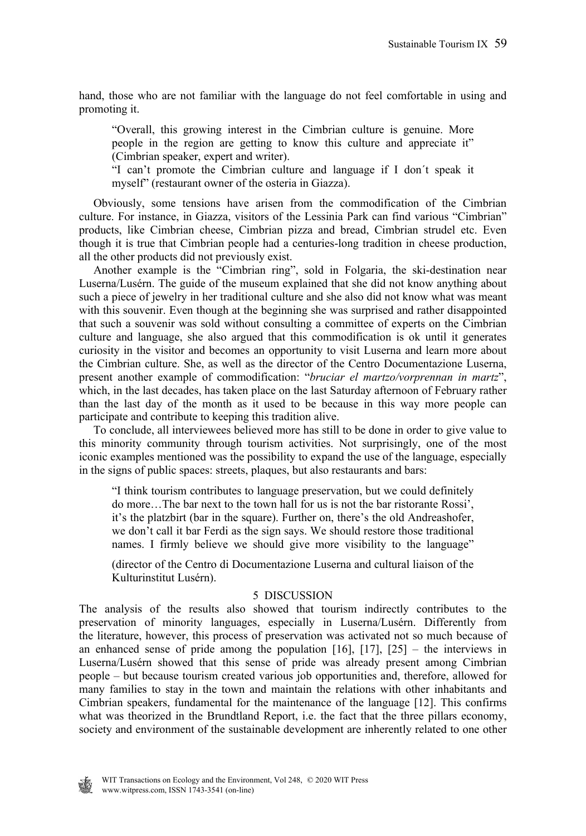hand, those who are not familiar with the language do not feel comfortable in using and promoting it.

"Overall, this growing interest in the Cimbrian culture is genuine. More people in the region are getting to know this culture and appreciate it" (Cimbrian speaker, expert and writer).

"I can't promote the Cimbrian culture and language if I don´t speak it myself" (restaurant owner of the osteria in Giazza).

 Obviously, some tensions have arisen from the commodification of the Cimbrian culture. For instance, in Giazza, visitors of the Lessinia Park can find various "Cimbrian" products, like Cimbrian cheese, Cimbrian pizza and bread, Cimbrian strudel etc. Even though it is true that Cimbrian people had a centuries-long tradition in cheese production, all the other products did not previously exist.

 Another example is the "Cimbrian ring", sold in Folgaria, the ski-destination near Luserna/Lusérn. The guide of the museum explained that she did not know anything about such a piece of jewelry in her traditional culture and she also did not know what was meant with this souvenir. Even though at the beginning she was surprised and rather disappointed that such a souvenir was sold without consulting a committee of experts on the Cimbrian culture and language, she also argued that this commodification is ok until it generates curiosity in the visitor and becomes an opportunity to visit Luserna and learn more about the Cimbrian culture. She, as well as the director of the Centro Documentazione Luserna, present another example of commodification: "*bruciar el martzo/vorprennan in martz*", which, in the last decades, has taken place on the last Saturday afternoon of February rather than the last day of the month as it used to be because in this way more people can participate and contribute to keeping this tradition alive.

 To conclude, all interviewees believed more has still to be done in order to give value to this minority community through tourism activities. Not surprisingly, one of the most iconic examples mentioned was the possibility to expand the use of the language, especially in the signs of public spaces: streets, plaques, but also restaurants and bars:

"I think tourism contributes to language preservation, but we could definitely do more…The bar next to the town hall for us is not the bar ristorante Rossi', it's the platzbirt (bar in the square). Further on, there's the old Andreashofer, we don't call it bar Ferdi as the sign says. We should restore those traditional names. I firmly believe we should give more visibility to the language"

(director of the Centro di Documentazione Luserna and cultural liaison of the Kulturinstitut Lusérn).

#### 5 DISCUSSION

The analysis of the results also showed that tourism indirectly contributes to the preservation of minority languages, especially in Luserna/Lusérn. Differently from the literature, however, this process of preservation was activated not so much because of an enhanced sense of pride among the population  $[16]$ ,  $[17]$ ,  $[25]$  – the interviews in Luserna/Lusérn showed that this sense of pride was already present among Cimbrian people – but because tourism created various job opportunities and, therefore, allowed for many families to stay in the town and maintain the relations with other inhabitants and Cimbrian speakers, fundamental for the maintenance of the language [12]. This confirms what was theorized in the Brundtland Report, i.e. the fact that the three pillars economy, society and environment of the sustainable development are inherently related to one other

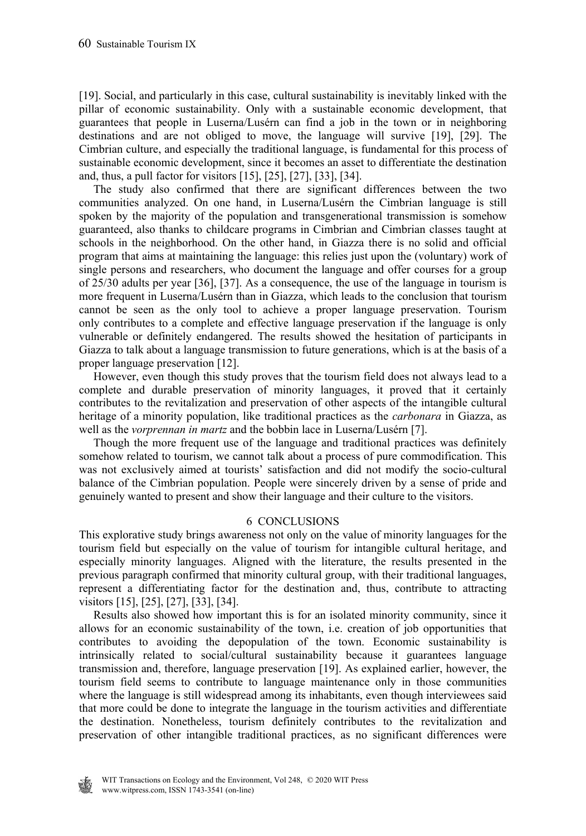[19]. Social, and particularly in this case, cultural sustainability is inevitably linked with the pillar of economic sustainability. Only with a sustainable economic development, that guarantees that people in Luserna/Lusérn can find a job in the town or in neighboring destinations and are not obliged to move, the language will survive [19], [29]. The Cimbrian culture, and especially the traditional language, is fundamental for this process of sustainable economic development, since it becomes an asset to differentiate the destination and, thus, a pull factor for visitors [15], [25], [27], [33], [34].

 The study also confirmed that there are significant differences between the two communities analyzed. On one hand, in Luserna/Lusérn the Cimbrian language is still spoken by the majority of the population and transgenerational transmission is somehow guaranteed, also thanks to childcare programs in Cimbrian and Cimbrian classes taught at schools in the neighborhood. On the other hand, in Giazza there is no solid and official program that aims at maintaining the language: this relies just upon the (voluntary) work of single persons and researchers, who document the language and offer courses for a group of 25/30 adults per year [36], [37]. As a consequence, the use of the language in tourism is more frequent in Luserna/Lusérn than in Giazza, which leads to the conclusion that tourism cannot be seen as the only tool to achieve a proper language preservation. Tourism only contributes to a complete and effective language preservation if the language is only vulnerable or definitely endangered. The results showed the hesitation of participants in Giazza to talk about a language transmission to future generations, which is at the basis of a proper language preservation [12].

 However, even though this study proves that the tourism field does not always lead to a complete and durable preservation of minority languages, it proved that it certainly contributes to the revitalization and preservation of other aspects of the intangible cultural heritage of a minority population, like traditional practices as the *carbonara* in Giazza, as well as the *vorprennan in martz* and the bobbin lace in Luserna/Lusérn [7].

 Though the more frequent use of the language and traditional practices was definitely somehow related to tourism, we cannot talk about a process of pure commodification. This was not exclusively aimed at tourists' satisfaction and did not modify the socio-cultural balance of the Cimbrian population. People were sincerely driven by a sense of pride and genuinely wanted to present and show their language and their culture to the visitors.

#### 6 CONCLUSIONS

This explorative study brings awareness not only on the value of minority languages for the tourism field but especially on the value of tourism for intangible cultural heritage, and especially minority languages. Aligned with the literature, the results presented in the previous paragraph confirmed that minority cultural group, with their traditional languages, represent a differentiating factor for the destination and, thus, contribute to attracting visitors [15], [25], [27], [33], [34].

 Results also showed how important this is for an isolated minority community, since it allows for an economic sustainability of the town, i.e. creation of job opportunities that contributes to avoiding the depopulation of the town. Economic sustainability is intrinsically related to social/cultural sustainability because it guarantees language transmission and, therefore, language preservation [19]. As explained earlier, however, the tourism field seems to contribute to language maintenance only in those communities where the language is still widespread among its inhabitants, even though interviewees said that more could be done to integrate the language in the tourism activities and differentiate the destination. Nonetheless, tourism definitely contributes to the revitalization and preservation of other intangible traditional practices, as no significant differences were

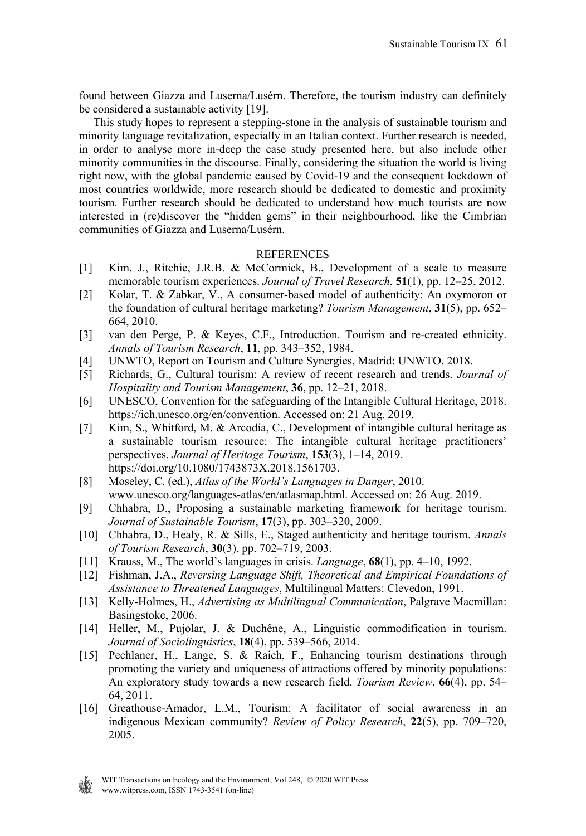found between Giazza and Luserna/Lusérn. Therefore, the tourism industry can definitely be considered a sustainable activity [19].

 This study hopes to represent a stepping-stone in the analysis of sustainable tourism and minority language revitalization, especially in an Italian context. Further research is needed, in order to analyse more in-deep the case study presented here, but also include other minority communities in the discourse. Finally, considering the situation the world is living right now, with the global pandemic caused by Covid-19 and the consequent lockdown of most countries worldwide, more research should be dedicated to domestic and proximity tourism. Further research should be dedicated to understand how much tourists are now interested in (re)discover the "hidden gems" in their neighbourhood, like the Cimbrian communities of Giazza and Luserna/Lusérn.

### **REFERENCES**

- [1] Kim, J., Ritchie, J.R.B. & McCormick, B., Development of a scale to measure memorable tourism experiences. *Journal of Travel Research*, **51**(1), pp. 12–25, 2012.
- [2] Kolar, T. & Zabkar, V., A consumer-based model of authenticity: An oxymoron or the foundation of cultural heritage marketing? *Tourism Management*, **31**(5), pp. 652– 664, 2010.
- [3] van den Perge, P. & Keyes, C.F., Introduction. Tourism and re-created ethnicity. *Annals of Tourism Research*, **11**, pp. 343–352, 1984.
- [4] UNWTO, Report on Tourism and Culture Synergies, Madrid: UNWTO, 2018.
- [5] Richards, G., Cultural tourism: A review of recent research and trends. *Journal of Hospitality and Tourism Management*, **36**, pp. 12–21, 2018.
- [6] UNESCO, Convention for the safeguarding of the Intangible Cultural Heritage, 2018. https://ich.unesco.org/en/convention. Accessed on: 21 Aug. 2019.
- [7] Kim, S., Whitford, M. & Arcodia, C., Development of intangible cultural heritage as a sustainable tourism resource: The intangible cultural heritage practitioners' perspectives. *Journal of Heritage Tourism*, **153**(3), 1–14, 2019. https://doi.org/10.1080/1743873X.2018.1561703.
- [8] Moseley, C. (ed.), *Atlas of the World's Languages in Danger*, 2010. www.unesco.org/languages-atlas/en/atlasmap.html. Accessed on: 26 Aug. 2019.
- [9] Chhabra, D., Proposing a sustainable marketing framework for heritage tourism. *Journal of Sustainable Tourism*, **17**(3), pp. 303–320, 2009.
- [10] Chhabra, D., Healy, R. & Sills, E., Staged authenticity and heritage tourism. *Annals of Tourism Research*, **30**(3), pp. 702–719, 2003.
- [11] Krauss, M., The world's languages in crisis. *Language*, **68**(1), pp. 4–10, 1992.
- [12] Fishman, J.A., *Reversing Language Shift, Theoretical and Empirical Foundations of Assistance to Threatened Languages*, Multilingual Matters: Clevedon, 1991.
- [13] Kelly-Holmes, H., *Advertising as Multilingual Communication*, Palgrave Macmillan: Basingstoke, 2006.
- [14] Heller, M., Pujolar, J. & Duchêne, A., Linguistic commodification in tourism. *Journal of Sociolinguistics*, **18**(4), pp. 539–566, 2014.
- [15] Pechlaner, H., Lange, S. & Raich, F., Enhancing tourism destinations through promoting the variety and uniqueness of attractions offered by minority populations: An exploratory study towards a new research field. *Tourism Review*, **66**(4), pp. 54– 64, 2011.
- [16] Greathouse-Amador, L.M., Tourism: A facilitator of social awareness in an indigenous Mexican community? *Review of Policy Research*, **22**(5), pp. 709–720, 2005.

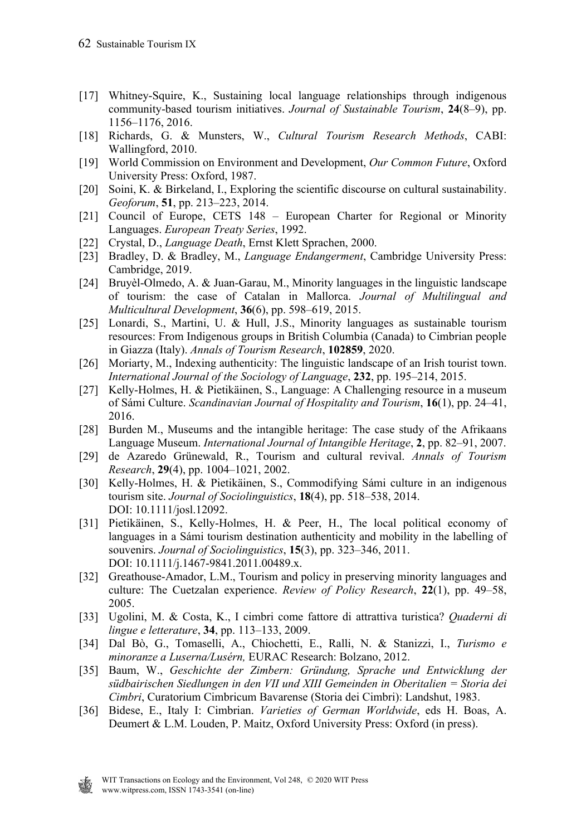- [17] Whitney-Squire, K., Sustaining local language relationships through indigenous community-based tourism initiatives. *Journal of Sustainable Tourism*, **24**(8–9), pp. 1156–1176, 2016.
- [18] Richards, G. & Munsters, W., *Cultural Tourism Research Methods*, CABI: Wallingford, 2010.
- [19] World Commission on Environment and Development, *Our Common Future*, Oxford University Press: Oxford, 1987.
- [20] Soini, K. & Birkeland, I., Exploring the scientific discourse on cultural sustainability. *Geoforum*, **51**, pp. 213–223, 2014.
- [21] Council of Europe, CETS 148 European Charter for Regional or Minority Languages. *European Treaty Series*, 1992.
- [22] Crystal, D., *Language Death*, Ernst Klett Sprachen, 2000.
- [23] Bradley, D. & Bradley, M., *Language Endangerment*, Cambridge University Press: Cambridge, 2019.
- [24] Bruyèl-Olmedo, A. & Juan-Garau, M., Minority languages in the linguistic landscape of tourism: the case of Catalan in Mallorca. *Journal of Multilingual and Multicultural Development*, **36**(6), pp. 598–619, 2015.
- [25] Lonardi, S., Martini, U. & Hull, J.S., Minority languages as sustainable tourism resources: From Indigenous groups in British Columbia (Canada) to Cimbrian people in Giazza (Italy). *Annals of Tourism Research*, **102859**, 2020.
- [26] Moriarty, M., Indexing authenticity: The linguistic landscape of an Irish tourist town. *International Journal of the Sociology of Language*, **232**, pp. 195–214, 2015.
- [27] Kelly-Holmes, H. & Pietikäinen, S., Language: A Challenging resource in a museum of Sámi Culture. *Scandinavian Journal of Hospitality and Tourism*, **16**(1), pp. 24–41, 2016.
- [28] Burden M., Museums and the intangible heritage: The case study of the Afrikaans Language Museum. *International Journal of Intangible Heritage*, **2**, pp. 82–91, 2007.
- [29] de Azaredo Grünewald, R., Tourism and cultural revival. *Annals of Tourism Research*, **29**(4), pp. 1004–1021, 2002.
- [30] Kelly‐Holmes, H. & Pietikäinen, S., Commodifying Sámi culture in an indigenous tourism site. *Journal of Sociolinguistics*, **18**(4), pp. 518–538, 2014. DOI: 10.1111/josl.12092.
- [31] Pietikäinen, S., Kelly-Holmes, H. & Peer, H., The local political economy of languages in a Sámi tourism destination authenticity and mobility in the labelling of souvenirs. *Journal of Sociolinguistics*, **15**(3), pp. 323–346, 2011. DOI: 10.1111/j.1467-9841.2011.00489.x.
- [32] Greathouse-Amador, L.M., Tourism and policy in preserving minority languages and culture: The Cuetzalan experience. *Review of Policy Research*, **22**(1), pp. 49–58, 2005.
- [33] Ugolini, M. & Costa, K., I cimbri come fattore di attrattiva turistica? *Quaderni di lingue e letterature*, **34**, pp. 113–133, 2009.
- [34] Dal Bò, G., Tomaselli, A., Chiochetti, E., Ralli, N. & Stanizzi, I., *Turismo e minoranze a Luserna/Lusérn,* EURAC Research: Bolzano, 2012.
- [35] Baum, W., *Geschichte der Zimbern: Gründung, Sprache und Entwicklung der südbairischen Siedlungen in den VII und XIII Gemeinden in Oberitalien = Storia dei Cimbri*, Curatorium Cimbricum Bavarense (Storia dei Cimbri): Landshut, 1983.
- [36] Bidese, E., Italy I: Cimbrian. *Varieties of German Worldwide*, eds H. Boas, A. Deumert & L.M. Louden, P. Maitz, Oxford University Press: Oxford (in press).